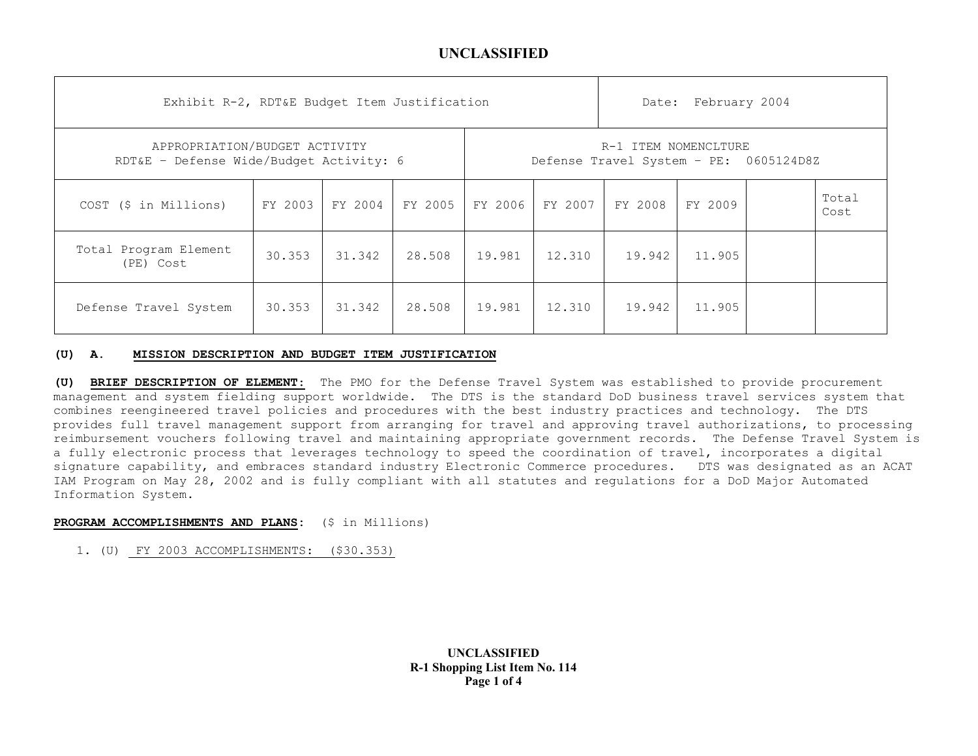| Exhibit R-2, RDT&E Budget Item Justification                             |         |         |         |                                                                |         |         | Date: February 2004 |  |               |
|--------------------------------------------------------------------------|---------|---------|---------|----------------------------------------------------------------|---------|---------|---------------------|--|---------------|
| APPROPRIATION/BUDGET ACTIVITY<br>RDT&E - Defense Wide/Budget Activity: 6 |         |         |         | R-1 ITEM NOMENCLTURE<br>Defense Travel System - PE: 0605124D8Z |         |         |                     |  |               |
| COST (\$ in Millions)                                                    | FY 2003 | FY 2004 | FY 2005 | FY 2006                                                        | FY 2007 | FY 2008 | FY 2009             |  | Total<br>Cost |
| Total Program Element<br>(PE) Cost                                       | 30.353  | 31.342  | 28.508  | 19.981                                                         | 12.310  | 19.942  | 11,905              |  |               |
| Defense Travel System                                                    | 30.353  | 31.342  | 28.508  | 19.981                                                         | 12.310  | 19.942  | 11,905              |  |               |

### **(U) A. MISSION DESCRIPTION AND BUDGET ITEM JUSTIFICATION**

**(U) BRIEF DESCRIPTION OF ELEMENT**: The PMO for the Defense Travel System was established to provide procurement management and system fielding support worldwide. The DTS is the standard DoD business travel services system that combines reengineered travel policies and procedures with the best industry practices and technology. The DTS provides full travel management support from arranging for travel and approving travel authorizations, to processing reimbursement vouchers following travel and maintaining appropriate government records. The Defense Travel System is a fully electronic process that leverages technology to speed the coordination of travel, incorporates a digital signature capability, and embraces standard industry Electronic Commerce procedures. DTS was designated as an ACAT IAM Program on May 28, 2002 and is fully compliant with all statutes and regulations for a DoD Major Automated Information System.

### **PROGRAM ACCOMPLISHMENTS AND PLANS:** (\$ in Millions)

1. (U) FY 2003 ACCOMPLISHMENTS: (\$30.353)

**UNCLASSIFIED R-1 Shopping List Item No. 114 Page 1 of 4**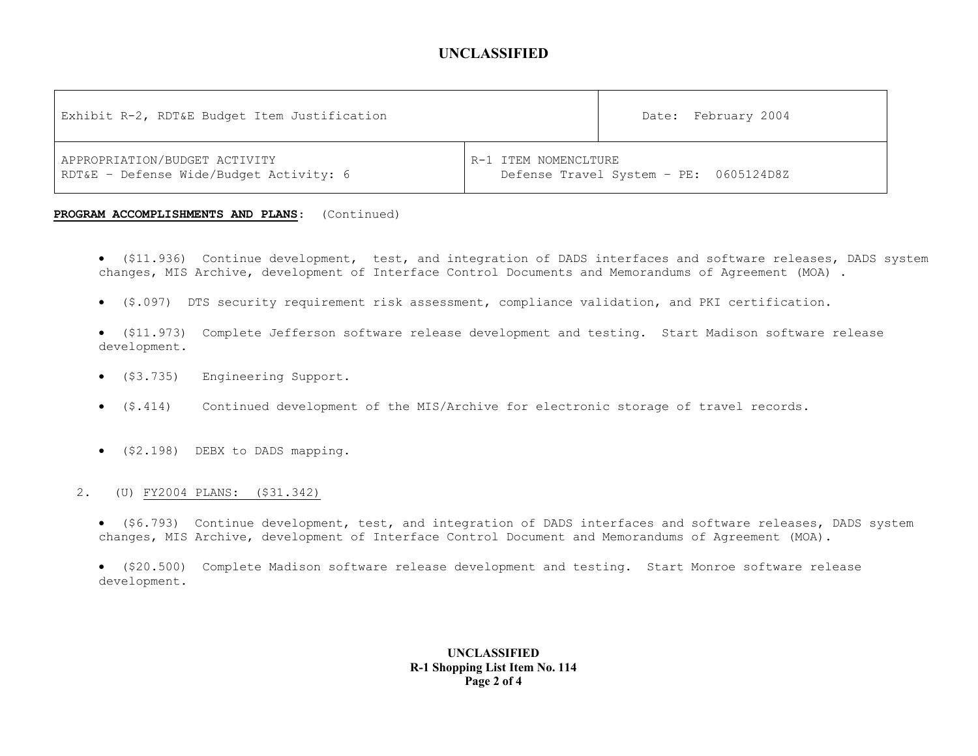| Exhibit R-2, RDT&E Budget Item Justification | Date: February 2004                    |
|----------------------------------------------|----------------------------------------|
| APPROPRIATION/BUDGET ACTIVITY                | R-1 ITEM NOMENCLTURE                   |
| RDT&E - Defense Wide/Budget Activity: 6      | Defense Travel System - PE: 0605124D8Z |

#### **PROGRAM ACCOMPLISHMENTS AND PLANS**: (Continued)

- (\$11.936) Continue development, test, and integration of DADS interfaces and software releases, DADS system changes, MIS Archive, development of Interface Control Documents and Memorandums of Agreement (MOA) .
- (\$.097) DTS security requirement risk assessment, compliance validation, and PKI certification.
- (\$11.973) Complete Jefferson software release development and testing. Start Madison software release development.
- (\$3.735) Engineering Support.
- $(5.414)$ Continued development of the MIS/Archive for electronic storage of travel records.
- (\$2.198) DEBX to DADS mapping.

### 2. (U) FY2004 PLANS: (\$31.342)

- (\$6.793) Continue development, test, and integration of DADS interfaces and software releases, DADS system changes, MIS Archive, development of Interface Control Document and Memorandums of Agreement (MOA).
- (\$20.500) Complete Madison software release development and testing. Start Monroe software release development.

### **UNCLASSIFIED R-1 Shopping List Item No. 114 Page 2 of 4**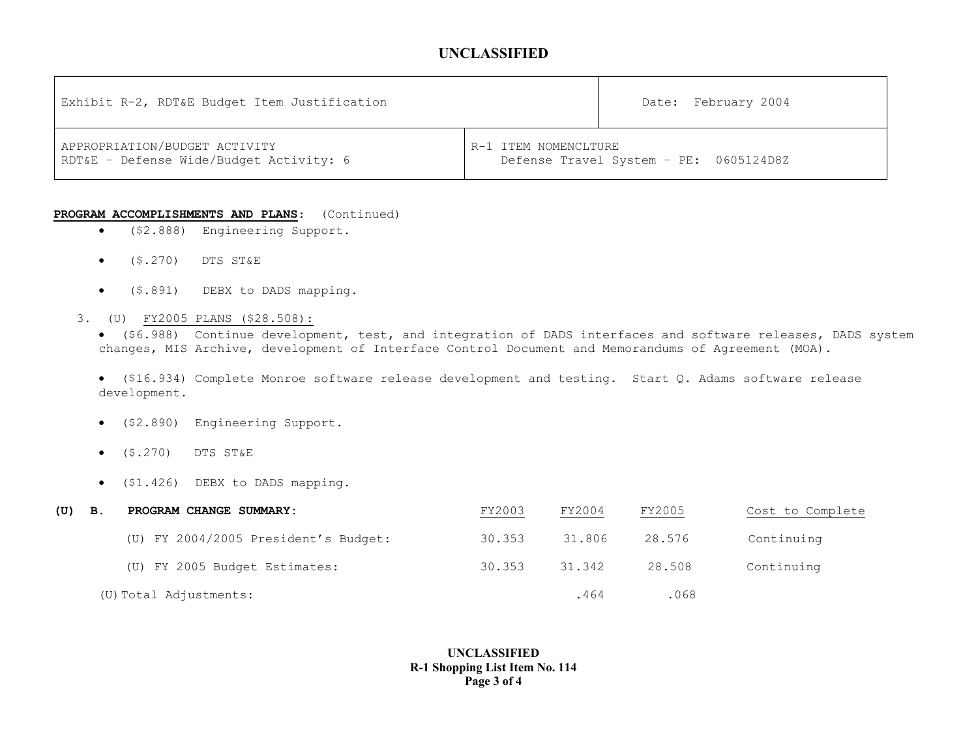| Exhibit R-2, RDT&E Budget Item Justification                             |                                                                | Date: February 2004 |
|--------------------------------------------------------------------------|----------------------------------------------------------------|---------------------|
| APPROPRIATION/BUDGET ACTIVITY<br>RDT&E - Defense Wide/Budget Activity: 6 | R-1 ITEM NOMENCLTURE<br>Defense Travel System - PE: 0605124D8Z |                     |

#### **PROGRAM ACCOMPLISHMENTS AND PLANS**: (Continued)

- (\$2.888) Engineering Support.
- $\bullet$  (\$.270) DTS ST&E
- (\$.891) DEBX to DADS mapping.
- 3. (U) FY2005 PLANS (\$28.508):

• (\$6.988) Continue development, test, and integration of DADS interfaces and software releases, DADS system changes, MIS Archive, development of Interface Control Document and Memorandums of Agreement (MOA).

• (\$16.934) Complete Monroe software release development and testing. Start Q. Adams software release development.

- (\$2.890) Engineering Support.
- (\$.270) DTS ST&E
- (\$1.426) DEBX to DADS mapping.

| (U) | В. | PROGRAM CHANGE SUMMARY:              | FY2003 | FY2004 | FY2005 | Cost to Complete |
|-----|----|--------------------------------------|--------|--------|--------|------------------|
|     |    | (U) FY 2004/2005 President's Budget: | 30.353 | 31.806 | 28.576 | Continuing       |
|     |    | (U) FY 2005 Budget Estimates:        | 30.353 | 31.342 | 28.508 | Continuing       |
|     |    | (U) Total Adjustments:               |        | .464   | .068   |                  |

### **UNCLASSIFIED R-1 Shopping List Item No. 114 Page 3 of 4**